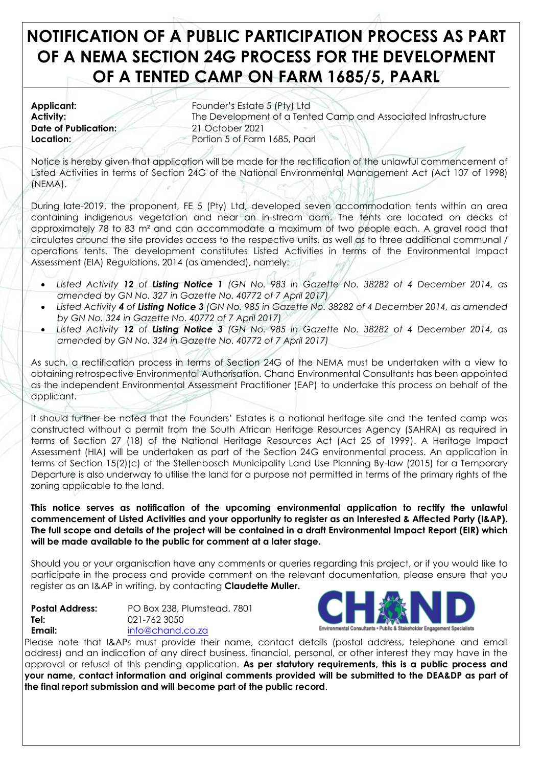# **NOTIFICATION OF A PUBLIC PARTICIPATION PROCESS AS PART OF A NEMA SECTION 24G PROCESS FOR THE DEVELOPMENT OF A TENTED CAMP ON FARM 1685/5, PAARL**

**Date of Publication:** 21 October 2021

**Applicant:** Founder's Estate 5 (Pty) Ltd **Activity:** The Development of a Tented Camp and Associated Infrastructure **Location:** Portion 5 of Farm 1685, Paarl

Notice is hereby given that application will be made for the rectification of the unlawful commencement of Listed Activities in terms of Section 24G of the National Environmental Management Act (Act 107 of 1998) (NEMA).

During late-2019, the proponent, FE 5 (Pty) Ltd, developed seven accommodation tents within an area containing indigenous vegetation and near an in-stream dam. The tents are located on decks of approximately 78 to 83 m² and can accommodate a maximum of two people each. A gravel road that circulates around the site provides access to the respective units, as well as to three additional communal / operations tents. The development constitutes Listed Activities in terms of the Environmental Impact Assessment (EIA) Regulations, 2014 (as amended), namely:

- *Listed Activity 12 of Listing Notice 1 (GN No. 983 in Gazette No. 38282 of 4 December 2014, as amended by GN No. 327 in Gazette No. 40772 of 7 April 2017)*
- *Listed Activity 4 of Listing Notice 3 (GN No. 985 in Gazette No. 38282 of 4 December 2014, as amended by GN No. 324 in Gazette No. 40772 of 7 April 2017)*
- *Listed Activity 12 of Listing Notice 3 (GN No. 985 in Gazette No. 38282 of 4 December 2014, as amended by GN No. 324 in Gazette No. 40772 of 7 April 2017)*

As such, a rectification process in terms of Section 24G of the NEMA must be undertaken with a view to obtaining retrospective Environmental Authorisation. Chand Environmental Consultants has been appointed as the independent Environmental Assessment Practitioner (EAP) to undertake this process on behalf of the applicant.

It should further be noted that the Founders' Estates is a national heritage site and the tented camp was constructed without a permit from the South African Heritage Resources Agency (SAHRA) as required in terms of Section 27 (18) of the National Heritage Resources Act (Act 25 of 1999). A Heritage Impact Assessment (HIA) will be undertaken as part of the Section 24G environmental process. An application in terms of Section 15(2)(c) of the Stellenbosch Municipality Land Use Planning By-law (2015) for a Temporary Departure is also underway to utilise the land for a purpose not permitted in terms of the primary rights of the zoning applicable to the land.

**This notice serves as notification of the upcoming environmental application to rectify the unlawful commencement of Listed Activities and your opportunity to register as an Interested & Affected Party (I&AP). The full scope and details of the project will be contained in a draft Environmental Impact Report (EIR) which will be made available to the public for comment at a later stage.** 

Should you or your organisation have any comments or queries regarding this project, or if you would like to participate in the process and provide comment on the relevant documentation, please ensure that you register as an I&AP in writing, by contacting **Claudette Muller.**

| <b>Postal Address:</b> | PO Box 238, Plumstead, 7801 |
|------------------------|-----------------------------|
| Tel:                   | 021-762 3050                |
| Email:                 | info@chand.co.za            |



Please note that I&APs must provide their name, contact details (postal address, telephone and email address) and an indication of any direct business, financial, personal, or other interest they may have in the approval or refusal of this pending application. **As per statutory requirements, this is a public process and your name, contact information and original comments provided will be submitted to the DEA&DP as part of the final report submission and will become part of the public record**.